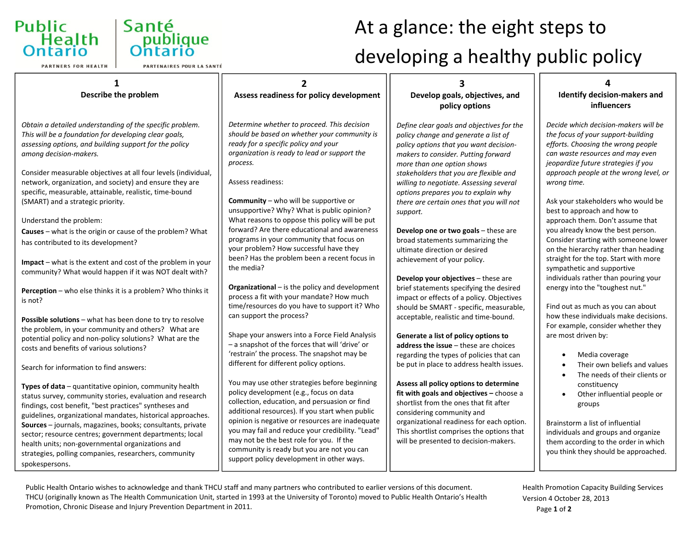

**PARTNERS FOR HEALTH** 



# At a glance: the eight steps to developing <sup>a</sup> healthy public policy

| Describe the problem                                                                                                                                                                                                                                                                                                                                                                                                                                                                                                                                                                                                                                                                                                                                                                                                                                                                                                                                                                                                                                                                                                                                                                                                                                                                                                                                                                                                                                                    | Assess readiness for policy development                                                                                                                                                                                                                                                                                                                                                                                                                                                                                                                                                                                                                                                                                                                                                                                                                                                                                                                                                                                                                                                                                                                                                                                                                                                                                                       | Develop goals, objectives, and<br>policy options                                                                                                                                                                                                                                                                                                                                                                                                                                                                                                                                                                                                                                                                                                                                                                                                                                                                                                                                                                                                                                                                                                                                                                              | <b>Identify decision-makers and</b><br><b>influencers</b>                                                                                                                                                                                                                                                                                                                                                                                                                                                                                                                                                                                                                                                                                                                                                                                                                                                                                                                                                                                                   |
|-------------------------------------------------------------------------------------------------------------------------------------------------------------------------------------------------------------------------------------------------------------------------------------------------------------------------------------------------------------------------------------------------------------------------------------------------------------------------------------------------------------------------------------------------------------------------------------------------------------------------------------------------------------------------------------------------------------------------------------------------------------------------------------------------------------------------------------------------------------------------------------------------------------------------------------------------------------------------------------------------------------------------------------------------------------------------------------------------------------------------------------------------------------------------------------------------------------------------------------------------------------------------------------------------------------------------------------------------------------------------------------------------------------------------------------------------------------------------|-----------------------------------------------------------------------------------------------------------------------------------------------------------------------------------------------------------------------------------------------------------------------------------------------------------------------------------------------------------------------------------------------------------------------------------------------------------------------------------------------------------------------------------------------------------------------------------------------------------------------------------------------------------------------------------------------------------------------------------------------------------------------------------------------------------------------------------------------------------------------------------------------------------------------------------------------------------------------------------------------------------------------------------------------------------------------------------------------------------------------------------------------------------------------------------------------------------------------------------------------------------------------------------------------------------------------------------------------|-------------------------------------------------------------------------------------------------------------------------------------------------------------------------------------------------------------------------------------------------------------------------------------------------------------------------------------------------------------------------------------------------------------------------------------------------------------------------------------------------------------------------------------------------------------------------------------------------------------------------------------------------------------------------------------------------------------------------------------------------------------------------------------------------------------------------------------------------------------------------------------------------------------------------------------------------------------------------------------------------------------------------------------------------------------------------------------------------------------------------------------------------------------------------------------------------------------------------------|-------------------------------------------------------------------------------------------------------------------------------------------------------------------------------------------------------------------------------------------------------------------------------------------------------------------------------------------------------------------------------------------------------------------------------------------------------------------------------------------------------------------------------------------------------------------------------------------------------------------------------------------------------------------------------------------------------------------------------------------------------------------------------------------------------------------------------------------------------------------------------------------------------------------------------------------------------------------------------------------------------------------------------------------------------------|
| Obtain a detailed understanding of the specific problem.<br>This will be a foundation for developing clear goals,<br>assessing options, and building support for the policy<br>among decision-makers.<br>Consider measurable objectives at all four levels (individual,<br>network, organization, and society) and ensure they are<br>specific, measurable, attainable, realistic, time-bound<br>(SMART) and a strategic priority.<br>Understand the problem:<br>Causes - what is the origin or cause of the problem? What<br>has contributed to its development?<br>Impact - what is the extent and cost of the problem in your<br>community? What would happen if it was NOT dealt with?<br>Perception - who else thinks it is a problem? Who thinks it<br>is not?<br>Possible solutions - what has been done to try to resolve<br>the problem, in your community and others? What are<br>potential policy and non-policy solutions? What are the<br>costs and benefits of various solutions?<br>Search for information to find answers:<br>Types of data - quantitative opinion, community health<br>status survey, community stories, evaluation and research<br>findings, cost benefit, "best practices" syntheses and<br>guidelines, organizational mandates, historical approaches.<br>Sources - journals, magazines, books; consultants, private<br>sector; resource centres; government departments; local<br>health units; non-governmental organizations and | Determine whether to proceed. This decision<br>should be based on whether your community is<br>ready for a specific policy and your<br>organization is ready to lead or support the<br>process.<br>Assess readiness:<br>Community - who will be supportive or<br>unsupportive? Why? What is public opinion?<br>What reasons to oppose this policy will be put<br>forward? Are there educational and awareness<br>programs in your community that focus on<br>your problem? How successful have they<br>been? Has the problem been a recent focus in<br>the media?<br>Organizational - is the policy and development<br>process a fit with your mandate? How much<br>time/resources do you have to support it? Who<br>can support the process?<br>Shape your answers into a Force Field Analysis<br>- a snapshot of the forces that will 'drive' or<br>'restrain' the process. The snapshot may be<br>different for different policy options.<br>You may use other strategies before beginning<br>policy development (e.g., focus on data<br>collection, education, and persuasion or find<br>additional resources). If you start when public<br>opinion is negative or resources are inadequate<br>you may fail and reduce your credibility. "Lead"<br>may not be the best role for you. If the<br>community is ready but you are not you can | Define clear goals and objectives for the<br>policy change and generate a list of<br>policy options that you want decision-<br>makers to consider. Putting forward<br>more than one option shows<br>stakeholders that you are flexible and<br>willing to negotiate. Assessing several<br>options prepares you to explain why<br>there are certain ones that you will not<br>support.<br>Develop one or two goals - these are<br>broad statements summarizing the<br>ultimate direction or desired<br>achievement of your policy.<br>Develop your objectives - these are<br>brief statements specifying the desired<br>impact or effects of a policy. Objectives<br>should be SMART - specific, measurable,<br>acceptable, realistic and time-bound.<br>Generate a list of policy options to<br>address the issue - these are choices<br>regarding the types of policies that can<br>be put in place to address health issues.<br>Assess all policy options to determine<br>fit with goals and objectives - choose a<br>shortlist from the ones that fit after<br>considering community and<br>organizational readiness for each option.<br>This shortlist comprises the options that<br>will be presented to decision-makers. | Decide which decision-makers will be<br>the focus of your support-building<br>efforts. Choosing the wrong people<br>can waste resources and may even<br>jeopardize future strategies if you<br>approach people at the wrong level, or<br>wrong time.<br>Ask your stakeholders who would be<br>best to approach and how to<br>approach them. Don't assume that<br>you already know the best person.<br>Consider starting with someone lower<br>on the hierarchy rather than heading<br>straight for the top. Start with more<br>sympathetic and supportive<br>individuals rather than pouring your<br>energy into the "toughest nut."<br>Find out as much as you can about<br>how these individuals make decisions.<br>For example, consider whether they<br>are most driven by:<br>Media coverage<br>$\bullet$<br>Their own beliefs and values<br>The needs of their clients or<br>constituency<br>Other influential people or<br>groups<br>Brainstorm a list of influential<br>individuals and groups and organize<br>them according to the order in which |
| strategies, polling companies, researchers, community<br>spokespersons.                                                                                                                                                                                                                                                                                                                                                                                                                                                                                                                                                                                                                                                                                                                                                                                                                                                                                                                                                                                                                                                                                                                                                                                                                                                                                                                                                                                                 | support policy development in other ways.                                                                                                                                                                                                                                                                                                                                                                                                                                                                                                                                                                                                                                                                                                                                                                                                                                                                                                                                                                                                                                                                                                                                                                                                                                                                                                     |                                                                                                                                                                                                                                                                                                                                                                                                                                                                                                                                                                                                                                                                                                                                                                                                                                                                                                                                                                                                                                                                                                                                                                                                                               | you think they should be approached.                                                                                                                                                                                                                                                                                                                                                                                                                                                                                                                                                                                                                                                                                                                                                                                                                                                                                                                                                                                                                        |

Public Health Ontario wishes to acknowledge and thank THCU staff and many partners who contributed to earlier versions of this document. THCU (originally known as The Health Communication Unit, started in 1993 at the University of Toronto) moved to Public Health Ontario's Health Promotion, Chronic Disease and Injury Prevention Department in 2011.

Page **1** of **2** Health Promotion Capacity Building Services Version 4 October 28, 2013